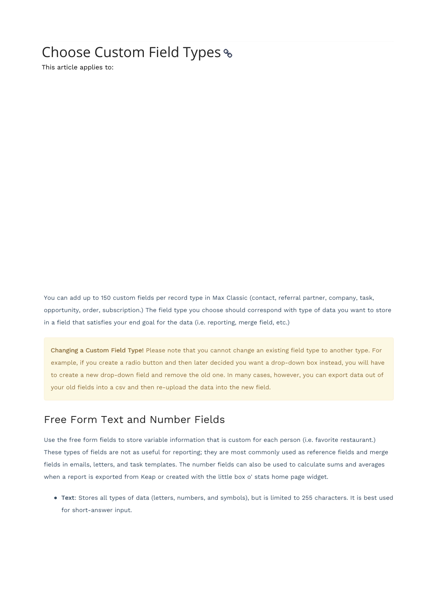# Choose Custom Field Types

This article applies to:

You can add up to 150 custom fields per record type in Max Classic (contact, referral partner, company, task, opportunity, order, subscription.) The field type you choose should correspond with type of data you want to store in a field that satisfies your end goal for the data (i.e. reporting, merge field, etc.)

Changing a Custom Field Type! Please note that you cannot change an existing field type to another type. For example, if you create a radio button and then later decided you want a drop-down box instead, you will have to create a new drop-down field and remove the old one. In many cases, however, you can export data out of your old fields into a csv and then re-upload the data into the new field.

#### Free Form Text and Number Fields

Use the free form fields to store variable information that is custom for each person (i.e. favorite restaurant.) These types of fields are not as useful for reporting; they are most commonly used as reference fields and merge fields in emails, letters, and task templates. The number fields can also be used to calculate sums and averages when a report is exported from Keap or created with the little box o' stats home page widget.

Text: Stores all types of data (letters, numbers, and symbols), but is limited to 255 characters. It is best used for short-answer input.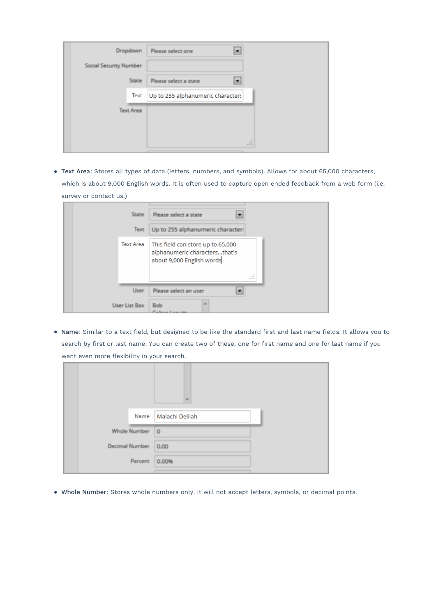| Dropdown               | Please select one                 |
|------------------------|-----------------------------------|
| Social Security Number |                                   |
| State                  | Please select a state             |
| Text                   | Up to 255 alphanumeric characters |
| Text Area              |                                   |
|                        |                                   |
|                        | d.                                |

Text Area: Stores all types of data (letters, numbers, and symbols). Allows for about 65,000 characters, which is about 9,000 English words. It is often used to capture open ended feedback from a web form (i.e. survey or contact us.)

| State            | Please select a state                                                                                                       |
|------------------|-----------------------------------------------------------------------------------------------------------------------------|
| Text.            | Up to 255 alphanumeric character:                                                                                           |
| <b>Text Area</b> | This field can store up to 65,000<br>alphanumeric charactersthat's<br>about 9,000 English words<br>$\sim$ $\sim$<br>$= 1.1$ |
| User             | Please select an user                                                                                                       |
| User List Box    | <b>Bob</b>                                                                                                                  |

Name: Similar to a text field, but designed to be like the standard first and last name fields. It allows you to search by first or last name. You can create two of these; one for first name and one for last name if you want even more flexibility in your search.

| Name                | Malachi Delilah |  |
|---------------------|-----------------|--|
| Whole Number 0      |                 |  |
| Decimal Number 0.00 |                 |  |
| Percent             | 0.00%           |  |

Whole Number: Stores whole numbers only. It will not accept letters, symbols, or decimal points.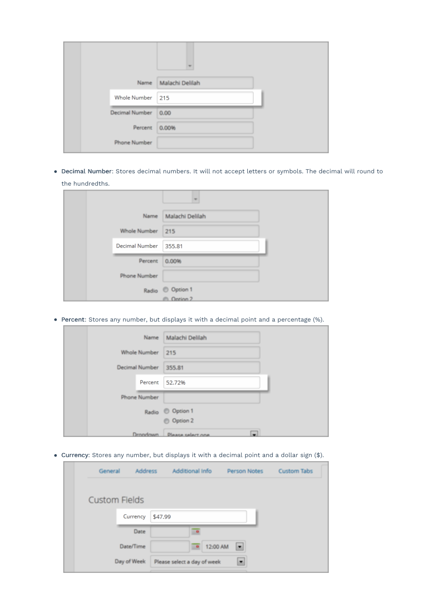|                | Name Malachi Delilah |  |
|----------------|----------------------|--|
| Whole Number   | 215                  |  |
| Decimal Number | 0.00                 |  |
| Percent        | 0.00%                |  |
| Phone Number   |                      |  |

Decimal Number: Stores decimal numbers. It will not accept letters or symbols. The decimal will round to the hundredths.

|                  | Name Malachi Delilah  |  |
|------------------|-----------------------|--|
| Whole Number 215 |                       |  |
| Decimal Number   | 355.81                |  |
| Percent          | 0.00%                 |  |
| Phone Number     |                       |  |
|                  | Radio © Option 1      |  |
|                  | <sup>@</sup> Ontion 2 |  |

Percent: Stores any number, but displays it with a decimal point and a percentage (%).

|                       | Name Malachi Delilah            |  |
|-----------------------|---------------------------------|--|
| Whole Number 215      |                                 |  |
| Decimal Number 355.81 |                                 |  |
| Percent               | 52.72%                          |  |
| Phone Number          |                                 |  |
|                       | Radio © Option 1                |  |
|                       | © Option 2                      |  |
|                       | -<br>Drondown Please select one |  |

Currency: Stores any number, but displays it with a decimal point and a dollar sign (\$).

| General              | <b>Address</b> |         | Additional Info             | Person Notes   | <b>Custom Tabs</b> |
|----------------------|----------------|---------|-----------------------------|----------------|--------------------|
| <b>Custom Fields</b> |                |         |                             |                |                    |
|                      | Currency       | \$47.99 |                             |                |                    |
|                      | Date           |         |                             |                |                    |
|                      | Date/Time      |         | 12:00 AM                    | $\blacksquare$ |                    |
|                      | Day of Week    |         | Please select a day of week | $\blacksquare$ |                    |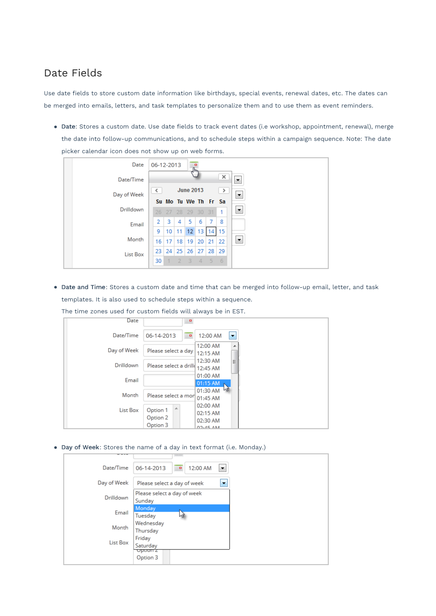#### Date Fields

Use date fields to store custom date information like birthdays, special events, renewal dates, etc. The dates can be merged into emails, letters, and task templates to personalize them and to use them as event reminders.

Date: Stores a custom date. Use date fields to track event dates (i.e workshop, appointment, renewal), merge the date into follow-up communications, and to schedule steps within a campaign sequence. Note: The date picker calendar icon does not show up on web forms.

| Date        | 06-12-2013 |                 |                | 운                       |    |              |               |                       |  |  |  |
|-------------|------------|-----------------|----------------|-------------------------|----|--------------|---------------|-----------------------|--|--|--|
| Date/Time   |            |                 |                |                         |    |              | ×             | ۰                     |  |  |  |
| Day of Week | $\prec$    |                 |                | <b>June 2013</b>        |    |              | $\rightarrow$ | ≛                     |  |  |  |
|             |            |                 |                | Su Mo Tu We The Free Sa |    |              |               |                       |  |  |  |
| Drilldown   |            | $26$ $27$       | 28 29          |                         | 30 | 31           | 1             | $\blacktriangledown$  |  |  |  |
| Email       | 2          | 3               | 4              | 5                       | 6  | 7            | 8             |                       |  |  |  |
|             | 9          | 10              | 11             | 12 <sub>1</sub>         | 13 | 14           | 15            |                       |  |  |  |
| Month       | 16         | 17 <sup>1</sup> |                | $18$   19               |    | $20 \mid 21$ | 22            | $\blacktriangleright$ |  |  |  |
| List Box    |            | 23 24           | 25             | 26                      | 27 | 28           | 29            |                       |  |  |  |
|             | 30         |                 | $\overline{2}$ | 3                       | 4  | $\sim$       | -6            |                       |  |  |  |

Date and Time: Stores a custom date and time that can be merged into follow-up email, letter, and task templates. It is also used to schedule steps within a sequence.

The time zones used for custom fields will always be in EST.

| Date             | $\blacksquare$               |                                        |
|------------------|------------------------------|----------------------------------------|
| Date/Time        | 06-14-2013<br>$\blacksquare$ | 12:00 AM<br>E                          |
| Day of Week      | Please select a day          | 12:00 AM<br>┻<br>12:15 AM              |
| <b>Drilldown</b> | Please select a drill        | 12:30 AM<br>Ξ<br>12:45 AM              |
| Email            |                              | 01:00 AM<br>01:15 AM                   |
| Month            | Please select a mor          | M <sub>2</sub><br>01:30 AM<br>01:45 AM |
| List Box         | A<br>Option 1<br>Option 2    | 02:00 AM<br>02:15 AM<br>02:30 AM       |
|                  | Option 3                     | 02.45 AM                               |

Day of Week: Stores the name of a day in text format (i.e. Monday.)

|                  | <b>TERRETA</b>                                             |  |
|------------------|------------------------------------------------------------|--|
| Date/Time        | $\blacksquare$<br>12:00 AM<br>06-14-2013<br>$\blacksquare$ |  |
| Day of Week      | Please select a day of week<br>$\overline{\phantom{a}}$    |  |
| <b>Drilldown</b> | Please select a day of week<br>Sunday                      |  |
| Email            | Monday<br>Tuesday                                          |  |
| Month            | Wednesday<br>Thursday                                      |  |
| List Box         | Friday<br>Saturday                                         |  |
|                  | Option Z<br>Option 3                                       |  |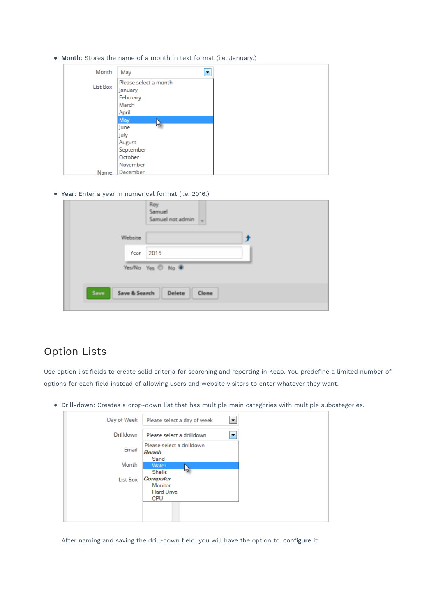Month: Stores the name of a month in text format (i.e. January.)

| Month    | May<br>▼              |
|----------|-----------------------|
|          | Please select a month |
| List Box | January               |
|          | February              |
|          | March                 |
|          | April                 |
|          | May                   |
|          | M<br>June             |
|          | July                  |
|          | August                |
|          | September             |
|          | October               |
|          | November              |
| Name     | December              |

Year: Enter a year in numerical format (i.e. 2016.)

|                       | Roy<br>Samuel<br>Samuel not admin $\sim$ |
|-----------------------|------------------------------------------|
| Website               |                                          |
| Year                  | 2015                                     |
|                       | Yes/No Yes @ No @                        |
| Save<br>Save & Search | Delete<br>Clone                          |
|                       |                                          |

### Option Lists

Use option list fields to create solid criteria for searching and reporting in Keap. You predefine a limited number of options for each field instead of allowing users and website visitors to enter whatever they want.

Drill-down: Creates a drop-down list that has multiple main categories with multiple subcategories.

| Day of Week      | Please select a day of week<br>$\overline{\phantom{a}}$       |
|------------------|---------------------------------------------------------------|
| <b>Drilldown</b> | Please select a drilldown<br>$\mathbf{v}$                     |
| Email            | Please select a drilldown<br>Beach                            |
| Month            | Sand<br>Water<br>M<br>Shells                                  |
| List Box         | <b>Computer</b><br>Monitor<br><b>Hard Drive</b><br><b>CPU</b> |
|                  |                                                               |

After naming and saving the drill-down field, you will have the option to configure it.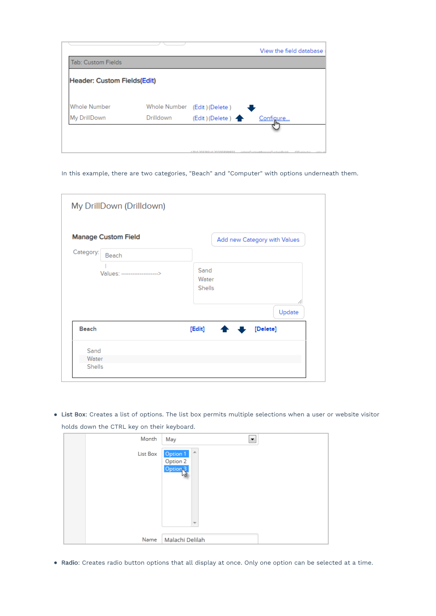| <b>Tab: Custom Fields</b>          |              |                   |           |
|------------------------------------|--------------|-------------------|-----------|
| <b>Header: Custom Fields(Edit)</b> |              |                   |           |
| <b>Whole Number</b>                | Whole Number | (Edit) (Delete)   |           |
| My DrillDown                       | Drilldown    | (Edit) (Delete) < | Configure |

In this example, there are two categories, "Beach" and "Computer" with options underneath them.

| My DrillDown (Drilldown)                         |                                |
|--------------------------------------------------|--------------------------------|
| <b>Manage Custom Field</b><br>Category:<br>Beach | Add new Category with Values   |
| Values: -------------------->                    | Sand<br>Water<br>Shells        |
|                                                  | 4<br>Update                    |
| <b>Beach</b>                                     | [Edit]<br>[Delete]<br><b>A</b> |
| Sand                                             |                                |
| Water                                            |                                |
| Shells                                           |                                |

List Box: Creates a list of options. The list box permits multiple selections when a user or website visitor holds down the CTRL key on their keyboard.

| Month    | May<br>▼                                                                     |  |
|----------|------------------------------------------------------------------------------|--|
| List Box | A<br>Option 1<br>Option 2<br>Option <sub>2</sub><br>$\overline{\phantom{a}}$ |  |
|          |                                                                              |  |
| Name     | Malachi Delilah                                                              |  |

Radio: Creates radio button options that all display at once. Only one option can be selected at a time.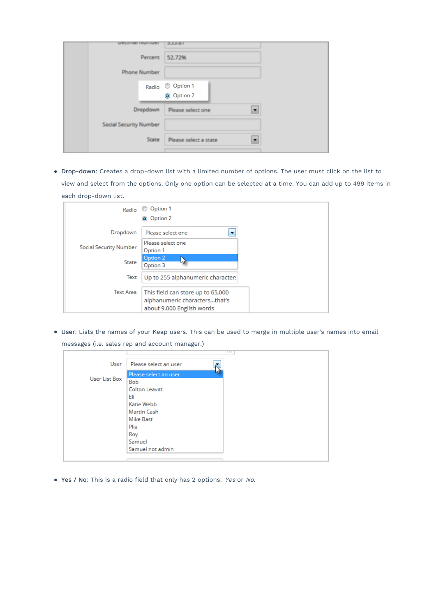| <b>LITTLING INLINER</b> | 3JJ.01                         |  |
|-------------------------|--------------------------------|--|
| Percent                 | 52.72%                         |  |
| Phone Number            |                                |  |
|                         | Radio © Option 1<br>O Option 2 |  |
| Dropdown                | Please select one              |  |
| Social Security Number  |                                |  |
| State                   | Please select a state          |  |

Drop-down: Creates a drop-down list with a limited number of options. The user must click on the list to view and select from the options. Only one option can be selected at a time. You can add up to 499 items in each drop-down list.

| Radio                  | Option 1<br>$\circ$<br>Option 2<br>$\bullet$                                                    |
|------------------------|-------------------------------------------------------------------------------------------------|
| Dropdown               | Please select one                                                                               |
| Social Security Number | Please select one<br>Option 1                                                                   |
| State                  | Option 2<br>м<br>Option 3                                                                       |
| Text                   | Up to 255 alphanumeric characters                                                               |
| <b>Text Area</b>       | This field can store up to 65,000<br>alphanumeric charactersthat's<br>about 9,000 English words |

User: Lists the names of your Keap users. This can be used to merge in multiple user's names into email messages (i.e. sales rep and account manager.)

| ▼ |
|---|
|   |
|   |
|   |
|   |
|   |
|   |
|   |
|   |
|   |
|   |
|   |
|   |

Yes / No: This is a radio field that only has 2 options: Yes or No.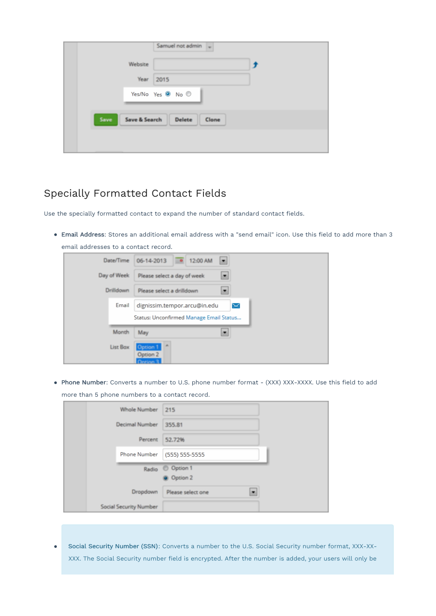|                       | Samuel not admin $\sim$      |
|-----------------------|------------------------------|
| Website               |                              |
|                       | Year 2015                    |
|                       | Yes/No Yes <sup>O</sup> No © |
| Save<br>Save & Search | Delete<br>Clone              |
|                       |                              |
|                       |                              |

## Specially Formatted Contact Fields

Use the specially formatted contact to expand the number of standard contact fields.

Email Address: Stores an additional email address with a "send email" icon. Use this field to add more than 3 email addresses to a contact record.

| Date/Time   | 06-14-2013 0 12:00 AM                                 |
|-------------|-------------------------------------------------------|
| Day of Week | Please select a day of week                           |
| Drilldown   | Please select a drilldown                             |
| Email       | dignissim.tempor.arcu@in.edu<br>$\boldsymbol{\times}$ |
|             | Status: Unconfirmed Manage Email Status               |
| Month       | May                                                   |
| List Box    | Option 1<br>Option 2                                  |

Phone Number: Converts a number to U.S. phone number format - (XXX) XXX-XXXX. Use this field to add more than 5 phone numbers to a contact record.

| Whole Number           | 215                    |  |
|------------------------|------------------------|--|
| Decimal Number         | 355.81                 |  |
| Percent                | 52.72%                 |  |
| Phone Number           | (555) 555-5555         |  |
| Radio                  | © Option 1<br>Option 2 |  |
| Dropdown               | Please select one      |  |
| Social Security Number |                        |  |

Social Security Number (SSN): Converts a number to the U.S. Social Security number format, XXX-XX- $\bullet$ XXX. The Social Security number field is encrypted. After the number is added, your users will only be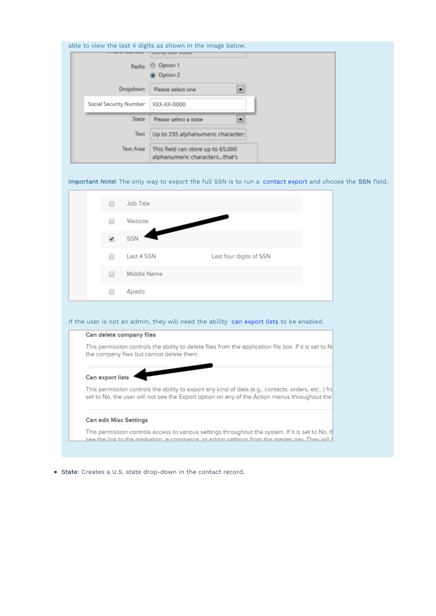| able to view the last 4 digits as shown in the image below.                                                                                                                                                           |
|-----------------------------------------------------------------------------------------------------------------------------------------------------------------------------------------------------------------------|
| <b>C</b> Option 1<br>Radio<br><b>Option 2</b>                                                                                                                                                                         |
| Dropdown<br>Please select one<br>×                                                                                                                                                                                    |
| Social Security Number<br>XXX-XX-0000                                                                                                                                                                                 |
| State<br>٠<br>Please select a state                                                                                                                                                                                   |
| Text<br>Up to 255 alphanumeric character:                                                                                                                                                                             |
| Text Area<br>This field can store up to 65,000<br>alphanumeric charactersthat's                                                                                                                                       |
| Important Note! The only way to export the full SSN is to run a contact export and choose the SSN field.                                                                                                              |
| Job Title                                                                                                                                                                                                             |
| Website                                                                                                                                                                                                               |
| <b>SSN</b><br>✔                                                                                                                                                                                                       |
| Last 4 SSN<br>Last four digits of SSN                                                                                                                                                                                 |
| Middle Name                                                                                                                                                                                                           |
| Apado                                                                                                                                                                                                                 |
| If the user is not an admin, they will need the ability can export lists to be enabled.                                                                                                                               |
| Can delete company files                                                                                                                                                                                              |
| This permission controls the ability to delete files from the application file box. If it is set to $N$<br>the company files but cannot delete them.                                                                  |
| Can export lists<br>This permission controls the ability to export any kind of data (e.g., contacts, orders, etc) frd<br>set to No, the user will not see the Export option on any of the Action menus throughout the |
| <b>Can edit Misc Settings</b>                                                                                                                                                                                         |
| This permission controls access to various settings throughout the system. If it is set to No, tl<br>see the link to the marketing e-commerce, or admin settings from the master nay. They will i                     |

• State: Creates a U.S. state drop-down in the contact record.